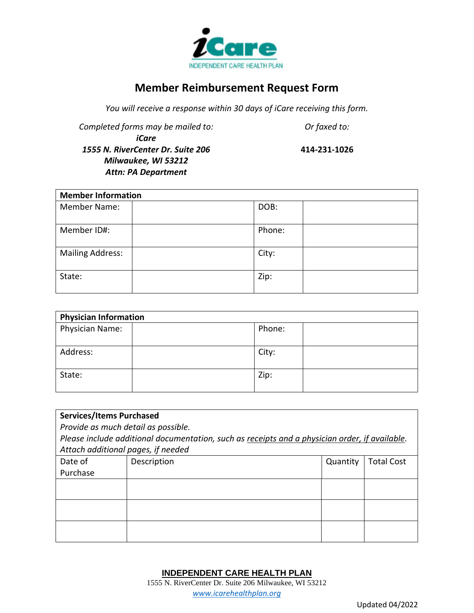

## **Member Reimbursement Request Form**

*You will receive a response within 30 days of iCare receiving this form.* 

*Completed forms may be mailed to: Or faxed to: iCare 1555 N. RiverCenter Dr. Suite 206 Milwaukee, WI 53212*

*Attn: PA Department*

**414-231-1026**

| <b>Member Information</b> |        |  |  |  |
|---------------------------|--------|--|--|--|
| <b>Member Name:</b>       | DOB:   |  |  |  |
|                           |        |  |  |  |
| Member ID#:               | Phone: |  |  |  |
|                           |        |  |  |  |
| <b>Mailing Address:</b>   | City:  |  |  |  |
| State:                    | Zip:   |  |  |  |

| <b>Physician Information</b> |        |  |  |  |
|------------------------------|--------|--|--|--|
| Physician Name:              | Phone: |  |  |  |
| Address:                     | City:  |  |  |  |
| State:                       | Zip:   |  |  |  |

| <b>Services/Items Purchased</b>                                                                |             |          |                   |  |  |
|------------------------------------------------------------------------------------------------|-------------|----------|-------------------|--|--|
| Provide as much detail as possible.                                                            |             |          |                   |  |  |
| Please include additional documentation, such as receipts and a physician order, if available. |             |          |                   |  |  |
| Attach additional pages, if needed                                                             |             |          |                   |  |  |
| Date of                                                                                        | Description | Quantity | <b>Total Cost</b> |  |  |
| Purchase                                                                                       |             |          |                   |  |  |
|                                                                                                |             |          |                   |  |  |
|                                                                                                |             |          |                   |  |  |
|                                                                                                |             |          |                   |  |  |
|                                                                                                |             |          |                   |  |  |
|                                                                                                |             |          |                   |  |  |
|                                                                                                |             |          |                   |  |  |